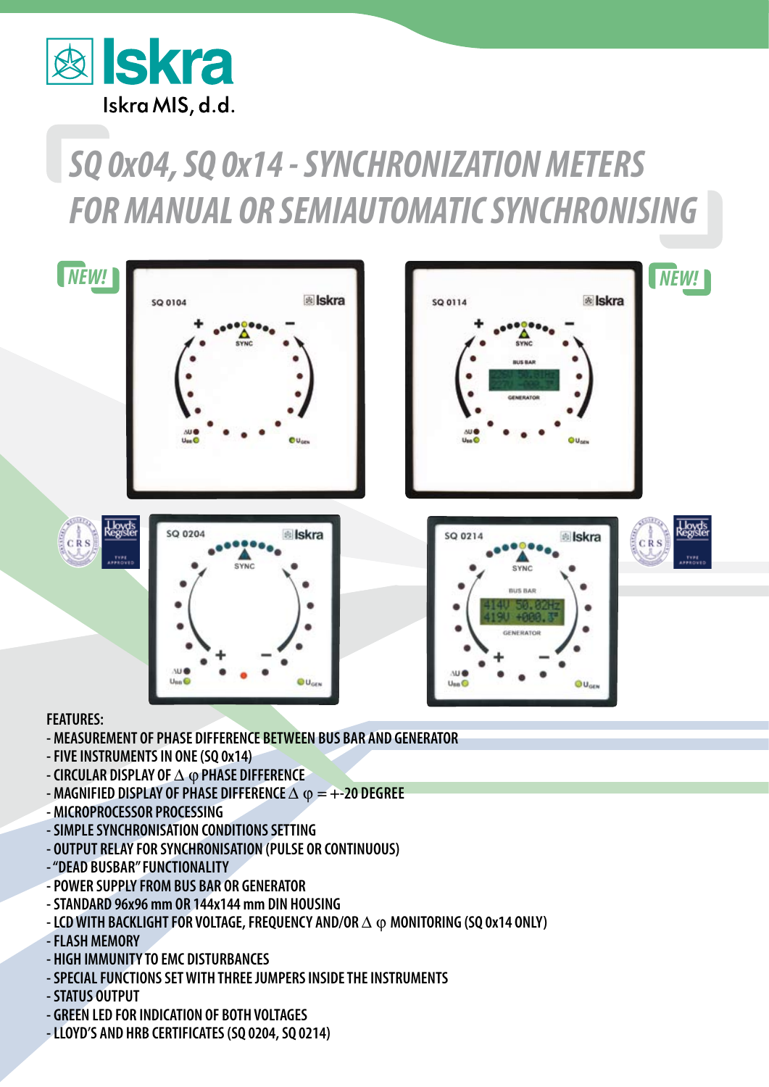

## *SQ 0x04, SQ 0x14 - SYNCHRONIZATION METERS FOR MANUAL OR SEMIAUTOMATIC SYNCHRONISING*



## **FEATURES:**

- **MEASUREMENT OF PHASE DIFFERENCE BETWEEN BUS BAR AND GENERATOR**
- **FIVE INSTRUMENTS IN ONE (SQ 0x14)**
- **CIRCULAR DISPLAY OF △ ⊙ PHASE DIFFERENCE**
- **MAGNIFIED DISPLAY OF PHASE DIFFERENCE**  $\triangle$  $\varphi$  **= +-20 DEGREE**
- **MICROPROCESSOR PROCESSING**
- **SIMPLE SYNCHRONISATION CONDITIONS SETTING**
- **OUTPUT RELAY FOR SYNCHRONISATION (PULSE OR CONTINUOUS)**
- **"DEAD BUSBAR" FUNCTIONALITY**
- **POWER SUPPLY FROM BUS BAR OR GENERATOR**
- **STANDARD 96x96 mm OR 144x144 mm DIN HOUSING**
- $-$  LCD WITH BACKLIGHT FOR VOLTAGE, FREQUENCY AND/OR  $\Delta \varphi$  monitoring (SQ 0x14 ONLY)
- **FLASH MEMORY**
- **HIGH IMMUNITY TO EMC DISTURBANCES**
- **SPECIAL FUNCTIONS SET WITH THREE JUMPERS INSIDE THE INSTRUMENTS**
- **STATUS OUTPUT**
- **GREEN LED FOR INDICATION OF BOTH VOLTAGES**
- **LLOYD'S AND HRB CERTIFICATES (SQ 0204, SQ 0214)**